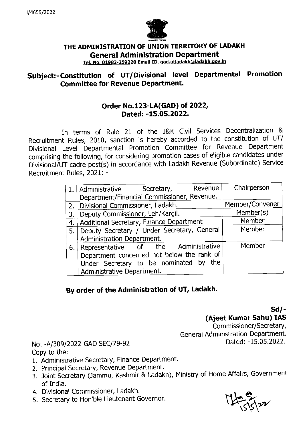

## THE ADMINISTRATION OF UNION TERRITORY OF LADAKH **General Administration Department**

**Tel. No. 01982-259220 Email ID. qad.utladakh@ladakh.gov.in** 

## **Subject:- Constitution of UT/Divisional level Departmental Promotion Committee for Revenue Department.**

## **Order No.123-LA(GAD) of 2022, Dated: -15.05.2022.**

In terms of Rule 21 of the J&K Civil Services Decentralization & Recruitment Rules, 2010, sanction is hereby accorded to the constitution of UT/ Divisional Level Departmental Promotion Committee for Revenue Department comprising the following, for considering promotion cases of eligible candidates under Divisional/UT cadre post(s) in accordance with Ladakh Revenue (Subordinate) Service Recruitment Rules, 2021: -

|    | Revenue<br>1. Administrative Secretary,     | Chairperson     |
|----|---------------------------------------------|-----------------|
|    | Department/Financial Commissioner, Revenue. |                 |
|    | 2.   Divisional Commissioner, Ladakh.       | Member/Convener |
| 3. | Deputy Commissioner, Leh/Kargil.            | Member(s)       |
| 4. | Additional Secretary, Finance Department    | Member          |
| 5. | Deputy Secretary / Under Secretary, General | Member          |
|    | Administration Department.                  |                 |
|    | 6. Representative of the Administrative     | Member          |
|    | Department concerned not below the rank of  |                 |
|    | Under Secretary to be nominated by the      |                 |
|    | Administrative Department.                  |                 |

## **By order of the Administration of UT, Ladakh.**

Sd/- (Ajeet Kumar **Sahu) lAS** 

Commissioner/Secretary, General Administration Department.

No: -A/309/2022-GAD SEC/79-92 Copy to the: -

- 1. Administrative Secretary, Finance Department.
- 2. Principal Secretary, Revenue Department.
- 3. Joint Secretary (Jammu, Kashmir & Ladakh), Ministry of Home Affairs, Government of India.
- 4. Divisional Commissioner, Ladakh.
- 5. Secretary to Hon'ble Lieutenant Governor.